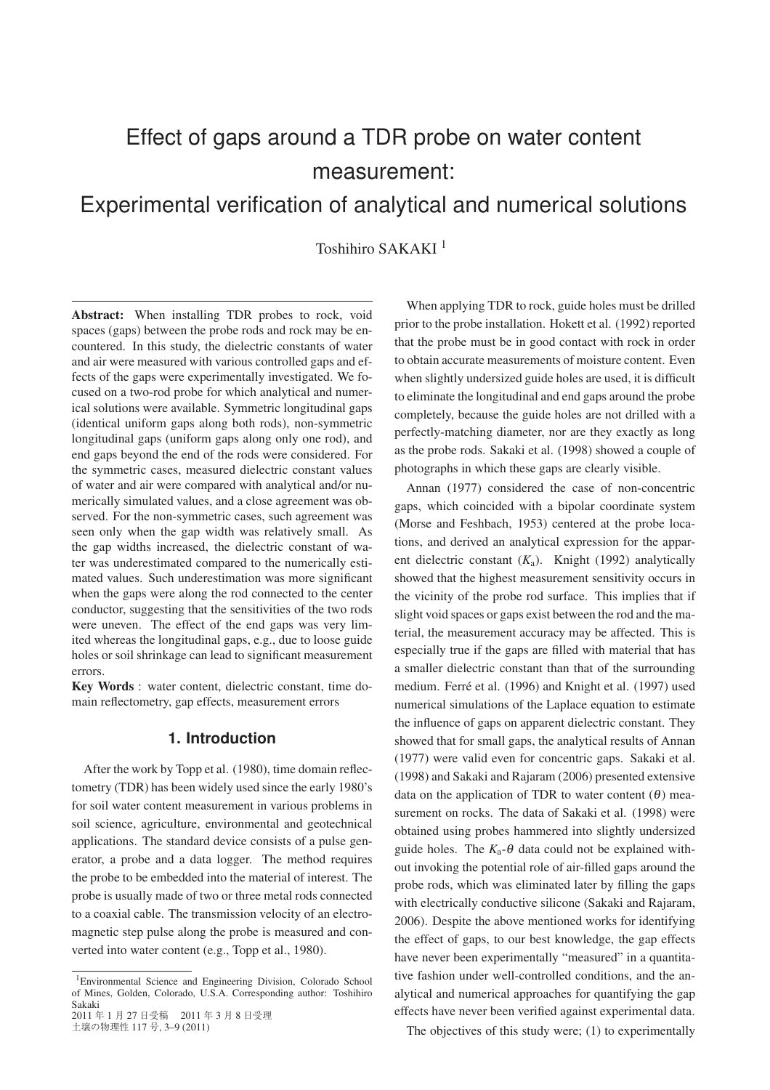# Effect of gaps around a TDR probe on water content measurement:

## Experimental verification of analytical and numerical solutions

Toshihiro SAKAKI<sup>1</sup>

Abstract: When installing TDR probes to rock, void spaces (gaps) between the probe rods and rock may be encountered. In this study, the dielectric constants of water and air were measured with various controlled gaps and effects of the gaps were experimentally investigated. We focused on a two-rod probe for which analytical and numerical solutions were available. Symmetric longitudinal gaps (identical uniform gaps along both rods), non-symmetric longitudinal gaps (uniform gaps along only one rod), and end gaps beyond the end of the rods were considered. For the symmetric cases, measured dielectric constant values of water and air were compared with analytical and/or numerically simulated values, and a close agreement was observed. For the non-symmetric cases, such agreement was seen only when the gap width was relatively small. As the gap widths increased, the dielectric constant of water was underestimated compared to the numerically estimated values. Such underestimation was more significant when the gaps were along the rod connected to the center conductor, suggesting that the sensitivities of the two rods were uneven. The effect of the end gaps was very limited whereas the longitudinal gaps, e.g., due to loose guide holes or soil shrinkage can lead to significant measurement errors.

Key Words : water content, dielectric constant, time domain reflectometry, gap effects, measurement errors

## **1. Introduction**

After the work by Topp et al. (1980), time domain reflectometry (TDR) has been widely used since the early 1980's for soil water content measurement in various problems in soil science, agriculture, environmental and geotechnical applications. The standard device consists of a pulse generator, a probe and a data logger. The method requires the probe to be embedded into the material of interest. The probe is usually made of two or three metal rods connected to a coaxial cable. The transmission velocity of an electromagnetic step pulse along the probe is measured and converted into water content (e.g., Topp et al., 1980).

土壌の物理性 117 号, 3–9 (2011)

When applying TDR to rock, guide holes must be drilled prior to the probe installation. Hokett et al. (1992) reported that the probe must be in good contact with rock in order to obtain accurate measurements of moisture content. Even when slightly undersized guide holes are used, it is difficult to eliminate the longitudinal and end gaps around the probe completely, because the guide holes are not drilled with a perfectly-matching diameter, nor are they exactly as long as the probe rods. Sakaki et al. (1998) showed a couple of photographs in which these gaps are clearly visible.

Annan (1977) considered the case of non-concentric gaps, which coincided with a bipolar coordinate system (Morse and Feshbach, 1953) centered at the probe locations, and derived an analytical expression for the apparent dielectric constant  $(K_a)$ . Knight (1992) analytically showed that the highest measurement sensitivity occurs in the vicinity of the probe rod surface. This implies that if slight void spaces or gaps exist between the rod and the material, the measurement accuracy may be affected. This is especially true if the gaps are filled with material that has a smaller dielectric constant than that of the surrounding medium. Ferré et al. (1996) and Knight et al. (1997) used numerical simulations of the Laplace equation to estimate the influence of gaps on apparent dielectric constant. They showed that for small gaps, the analytical results of Annan (1977) were valid even for concentric gaps. Sakaki et al. (1998) and Sakaki and Rajaram (2006) presented extensive data on the application of TDR to water content  $(\theta)$  measurement on rocks. The data of Sakaki et al. (1998) were obtained using probes hammered into slightly undersized guide holes. The  $K_a$ - $\theta$  data could not be explained without invoking the potential role of air-filled gaps around the probe rods, which was eliminated later by filling the gaps with electrically conductive silicone (Sakaki and Rajaram, 2006). Despite the above mentioned works for identifying the effect of gaps, to our best knowledge, the gap effects have never been experimentally "measured" in a quantitative fashion under well-controlled conditions, and the analytical and numerical approaches for quantifying the gap effects have never been verified against experimental data.

The objectives of this study were; (1) to experimentally

<sup>1</sup>Environmental Science and Engineering Division, Colorado School of Mines, Golden, Colorado, U.S.A. Corresponding author: Toshihiro Sakaki 2011 年 1 月 27 日受稿 2011 年 3 月 8 日受理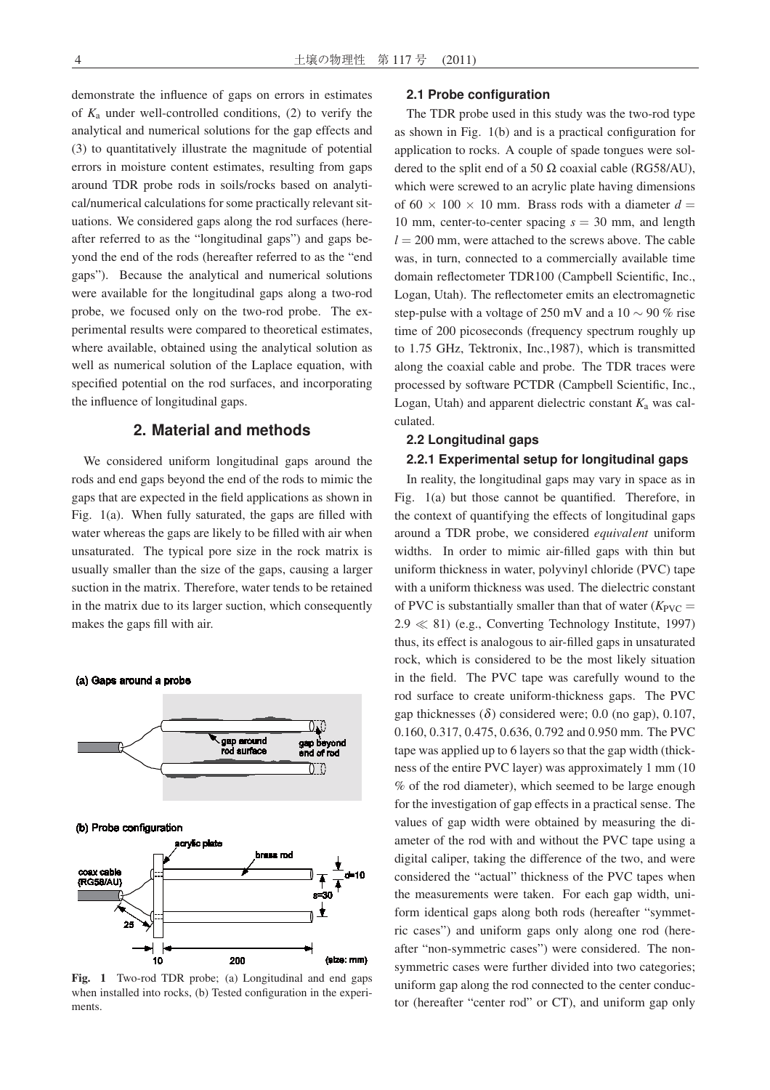demonstrate the influence of gaps on errors in estimates of *K*<sup>a</sup> under well-controlled conditions, (2) to verify the analytical and numerical solutions for the gap effects and (3) to quantitatively illustrate the magnitude of potential errors in moisture content estimates, resulting from gaps around TDR probe rods in soils/rocks based on analytical/numerical calculations for some practically relevant situations. We considered gaps along the rod surfaces (hereafter referred to as the "longitudinal gaps") and gaps beyond the end of the rods (hereafter referred to as the "end gaps"). Because the analytical and numerical solutions were available for the longitudinal gaps along a two-rod probe, we focused only on the two-rod probe. The experimental results were compared to theoretical estimates, where available, obtained using the analytical solution as well as numerical solution of the Laplace equation, with specified potential on the rod surfaces, and incorporating the influence of longitudinal gaps.

## **2. Material and methods**

We considered uniform longitudinal gaps around the rods and end gaps beyond the end of the rods to mimic the gaps that are expected in the field applications as shown in Fig. 1(a). When fully saturated, the gaps are filled with water whereas the gaps are likely to be filled with air when unsaturated. The typical pore size in the rock matrix is usually smaller than the size of the gaps, causing a larger suction in the matrix. Therefore, water tends to be retained in the matrix due to its larger suction, which consequently makes the gaps fill with air.



Fig. 1 Two-rod TDR probe; (a) Longitudinal and end gaps when installed into rocks, (b) Tested configuration in the experiments.

#### **2.1 Probe configuration**

The TDR probe used in this study was the two-rod type as shown in Fig. 1(b) and is a practical configuration for application to rocks. A couple of spade tongues were soldered to the split end of a 50  $\Omega$  coaxial cable (RG58/AU), which were screwed to an acrylic plate having dimensions of  $60 \times 100 \times 10$  mm. Brass rods with a diameter  $d =$ 10 mm, center-to-center spacing *s* = 30 mm, and length  $l = 200$  mm, were attached to the screws above. The cable was, in turn, connected to a commercially available time domain reflectometer TDR100 (Campbell Scientific, Inc., Logan, Utah). The reflectometer emits an electromagnetic step-pulse with a voltage of 250 mV and a 10  $\sim$  90 % rise time of 200 picoseconds (frequency spectrum roughly up to 1.75 GHz, Tektronix, Inc.,1987), which is transmitted along the coaxial cable and probe. The TDR traces were processed by software PCTDR (Campbell Scientific, Inc., Logan, Utah) and apparent dielectric constant  $K_a$  was calculated.

#### **2.2 Longitudinal gaps**

## **2.2.1 Experimental setup for longitudinal gaps**

In reality, the longitudinal gaps may vary in space as in Fig. 1(a) but those cannot be quantified. Therefore, in the context of quantifying the effects of longitudinal gaps around a TDR probe, we considered *equivalent* uniform widths. In order to mimic air-filled gaps with thin but uniform thickness in water, polyvinyl chloride (PVC) tape with a uniform thickness was used. The dielectric constant of PVC is substantially smaller than that of water  $(K_{\text{PVC}} =$  $2.9 \ll 81$ ) (e.g., Converting Technology Institute, 1997) thus, its effect is analogous to air-filled gaps in unsaturated rock, which is considered to be the most likely situation in the field. The PVC tape was carefully wound to the rod surface to create uniform-thickness gaps. The PVC gap thicknesses  $(\delta)$  considered were; 0.0 (no gap), 0.107, 0.160, 0.317, 0.475, 0.636, 0.792 and 0.950 mm. The PVC tape was applied up to 6 layers so that the gap width (thickness of the entire PVC layer) was approximately 1 mm (10 % of the rod diameter), which seemed to be large enough for the investigation of gap effects in a practical sense. The values of gap width were obtained by measuring the diameter of the rod with and without the PVC tape using a digital caliper, taking the difference of the two, and were considered the "actual" thickness of the PVC tapes when the measurements were taken. For each gap width, uniform identical gaps along both rods (hereafter "symmetric cases") and uniform gaps only along one rod (hereafter "non-symmetric cases") were considered. The nonsymmetric cases were further divided into two categories; uniform gap along the rod connected to the center conductor (hereafter "center rod" or CT), and uniform gap only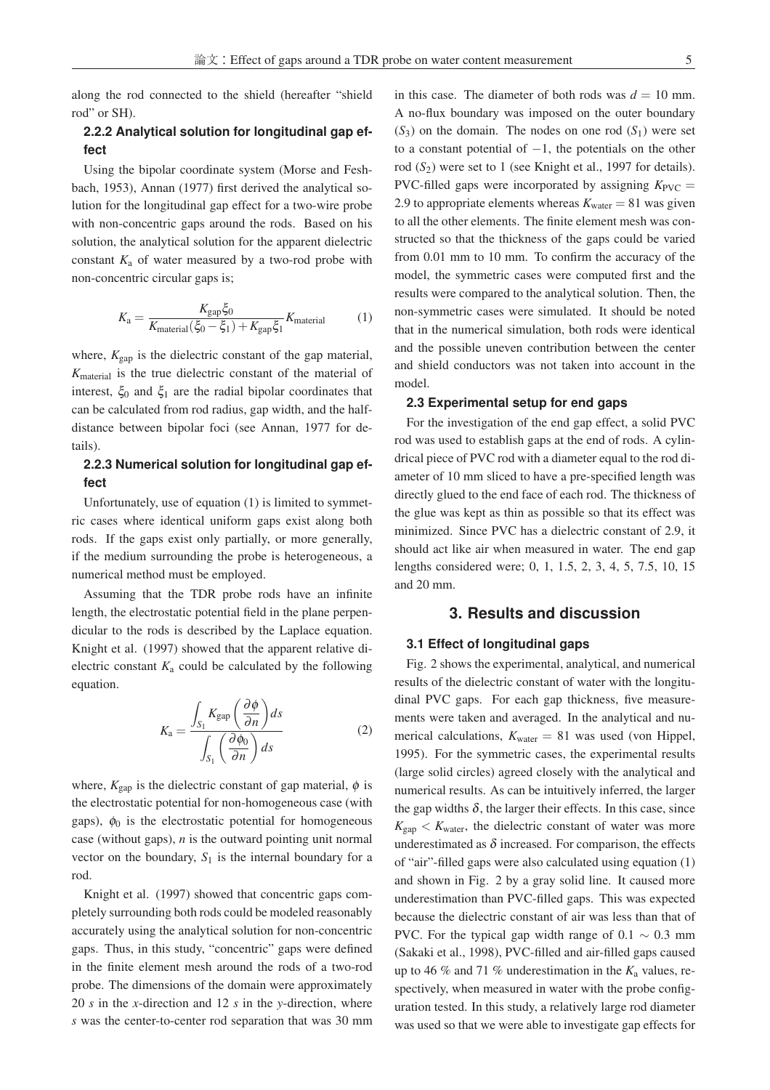along the rod connected to the shield (hereafter "shield rod" or SH).

#### **2.2.2 Analytical solution for longitudinal gap effect**

Using the bipolar coordinate system (Morse and Feshbach, 1953), Annan (1977) first derived the analytical solution for the longitudinal gap effect for a two-wire probe with non-concentric gaps around the rods. Based on his solution, the analytical solution for the apparent dielectric constant  $K_a$  of water measured by a two-rod probe with non-concentric circular gaps is;

$$
K_{\rm a} = \frac{K_{\rm gap} \xi_0}{K_{\rm material}(\xi_0 - \xi_1) + K_{\rm gap} \xi_1} K_{\rm material}
$$
 (1)

where,  $K_{\text{gap}}$  is the dielectric constant of the gap material, *K*material is the true dielectric constant of the material of interest,  $\xi_0$  and  $\xi_1$  are the radial bipolar coordinates that can be calculated from rod radius, gap width, and the halfdistance between bipolar foci (see Annan, 1977 for details).

## **2.2.3 Numerical solution for longitudinal gap effect**

Unfortunately, use of equation (1) is limited to symmetric cases where identical uniform gaps exist along both rods. If the gaps exist only partially, or more generally, if the medium surrounding the probe is heterogeneous, a numerical method must be employed.

Assuming that the TDR probe rods have an infinite length, the electrostatic potential field in the plane perpendicular to the rods is described by the Laplace equation. Knight et al. (1997) showed that the apparent relative dielectric constant  $K_a$  could be calculated by the following equation.

$$
K_{\rm a} = \frac{\int_{S_1} K_{\rm gap} \left(\frac{\partial \phi}{\partial n}\right) ds}{\int_{S_1} \left(\frac{\partial \phi_0}{\partial n}\right) ds}
$$
(2)

where,  $K_{\text{gap}}$  is the dielectric constant of gap material,  $\phi$  is the electrostatic potential for non-homogeneous case (with gaps),  $\phi_0$  is the electrostatic potential for homogeneous case (without gaps), *n* is the outward pointing unit normal vector on the boundary,  $S_1$  is the internal boundary for a rod.

Knight et al. (1997) showed that concentric gaps completely surrounding both rods could be modeled reasonably accurately using the analytical solution for non-concentric gaps. Thus, in this study, "concentric" gaps were defined in the finite element mesh around the rods of a two-rod probe. The dimensions of the domain were approximately 20 *s* in the *x*-direction and 12 *s* in the *y*-direction, where *s* was the center-to-center rod separation that was 30 mm

in this case. The diameter of both rods was  $d = 10$  mm. A no-flux boundary was imposed on the outer boundary  $(S_3)$  on the domain. The nodes on one rod  $(S_1)$  were set to a constant potential of  $-1$ , the potentials on the other rod ( $S_2$ ) were set to 1 (see Knight et al., 1997 for details). PVC-filled gaps were incorporated by assigning  $K_{\text{PVC}} =$ 2.9 to appropriate elements whereas  $K_{\text{water}} = 81$  was given to all the other elements. The finite element mesh was constructed so that the thickness of the gaps could be varied from 0.01 mm to 10 mm. To confirm the accuracy of the model, the symmetric cases were computed first and the results were compared to the analytical solution. Then, the non-symmetric cases were simulated. It should be noted that in the numerical simulation, both rods were identical and the possible uneven contribution between the center and shield conductors was not taken into account in the model.

#### **2.3 Experimental setup for end gaps**

For the investigation of the end gap effect, a solid PVC rod was used to establish gaps at the end of rods. A cylindrical piece of PVC rod with a diameter equal to the rod diameter of 10 mm sliced to have a pre-specified length was directly glued to the end face of each rod. The thickness of the glue was kept as thin as possible so that its effect was minimized. Since PVC has a dielectric constant of 2.9, it should act like air when measured in water. The end gap lengths considered were; 0, 1, 1.5, 2, 3, 4, 5, 7.5, 10, 15 and 20 mm.

#### **3. Results and discussion**

#### **3.1 Effect of longitudinal gaps**

Fig. 2 shows the experimental, analytical, and numerical results of the dielectric constant of water with the longitudinal PVC gaps. For each gap thickness, five measurements were taken and averaged. In the analytical and numerical calculations,  $K_{\text{water}} = 81$  was used (von Hippel, 1995). For the symmetric cases, the experimental results (large solid circles) agreed closely with the analytical and numerical results. As can be intuitively inferred, the larger the gap widths  $\delta$ , the larger their effects. In this case, since  $K_{\text{gap}} < K_{\text{water}}$ , the dielectric constant of water was more underestimated as  $\delta$  increased. For comparison, the effects of "air"-filled gaps were also calculated using equation (1) and shown in Fig. 2 by a gray solid line. It caused more underestimation than PVC-filled gaps. This was expected because the dielectric constant of air was less than that of PVC. For the typical gap width range of 0.1  $\sim$  0.3 mm (Sakaki et al., 1998), PVC-filled and air-filled gaps caused up to 46  $\%$  and 71  $\%$  underestimation in the  $K_a$  values, respectively, when measured in water with the probe configuration tested. In this study, a relatively large rod diameter was used so that we were able to investigate gap effects for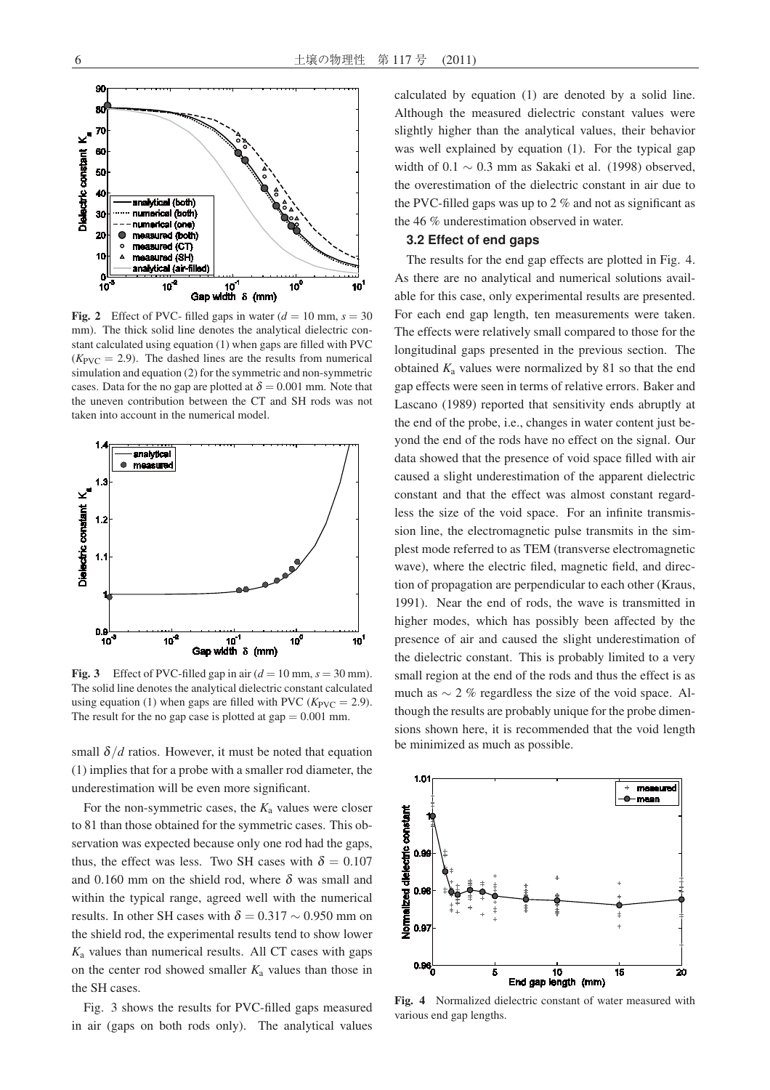

**Fig. 2** Effect of PVC- filled gaps in water  $(d = 10 \text{ mm}, s = 30$ mm). The thick solid line denotes the analytical dielectric constant calculated using equation (1) when gaps are filled with PVC  $(K_{\text{PVC}} = 2.9)$ . The dashed lines are the results from numerical simulation and equation (2) for the symmetric and non-symmetric cases. Data for the no gap are plotted at  $\delta = 0.001$  mm. Note that the uneven contribution between the CT and SH rods was not taken into account in the numerical model.



Fig. 3 Effect of PVC-filled gap in air  $(d = 10 \text{ mm}, s = 30 \text{ mm})$ . The solid line denotes the analytical dielectric constant calculated using equation (1) when gaps are filled with PVC ( $K_{\text{PVC}} = 2.9$ ). The result for the no gap case is plotted at gap  $= 0.001$  mm.

small  $\delta/d$  ratios. However, it must be noted that equation (1) implies that for a probe with a smaller rod diameter, the underestimation will be even more significant.

For the non-symmetric cases, the  $K_a$  values were closer to 81 than those obtained for the symmetric cases. This observation was expected because only one rod had the gaps, thus, the effect was less. Two SH cases with  $\delta = 0.107$ and 0.160 mm on the shield rod, where  $\delta$  was small and within the typical range, agreed well with the numerical results. In other SH cases with  $\delta = 0.317 \sim 0.950$  mm on the shield rod, the experimental results tend to show lower *K*<sup>a</sup> values than numerical results. All CT cases with gaps on the center rod showed smaller  $K_a$  values than those in the SH cases.

Fig. 3 shows the results for PVC-filled gaps measured in air (gaps on both rods only). The analytical values

calculated by equation (1) are denoted by a solid line. Although the measured dielectric constant values were slightly higher than the analytical values, their behavior was well explained by equation (1). For the typical gap width of  $0.1 \sim 0.3$  mm as Sakaki et al. (1998) observed, the overestimation of the dielectric constant in air due to the PVC-filled gaps was up to  $2\%$  and not as significant as the 46 % underestimation observed in water.

#### **3.2 Effect of end gaps**

The results for the end gap effects are plotted in Fig. 4. As there are no analytical and numerical solutions available for this case, only experimental results are presented. For each end gap length, ten measurements were taken. The effects were relatively small compared to those for the longitudinal gaps presented in the previous section. The obtained  $K_a$  values were normalized by 81 so that the end gap effects were seen in terms of relative errors. Baker and Lascano (1989) reported that sensitivity ends abruptly at the end of the probe, i.e., changes in water content just beyond the end of the rods have no effect on the signal. Our data showed that the presence of void space filled with air caused a slight underestimation of the apparent dielectric constant and that the effect was almost constant regardless the size of the void space. For an infinite transmission line, the electromagnetic pulse transmits in the simplest mode referred to as TEM (transverse electromagnetic wave), where the electric filed, magnetic field, and direction of propagation are perpendicular to each other (Kraus, 1991). Near the end of rods, the wave is transmitted in higher modes, which has possibly been affected by the presence of air and caused the slight underestimation of the dielectric constant. This is probably limited to a very small region at the end of the rods and thus the effect is as much as  $\sim$  2 % regardless the size of the void space. Although the results are probably unique for the probe dimensions shown here, it is recommended that the void length be minimized as much as possible.



Fig. 4 Normalized dielectric constant of water measured with various end gap lengths.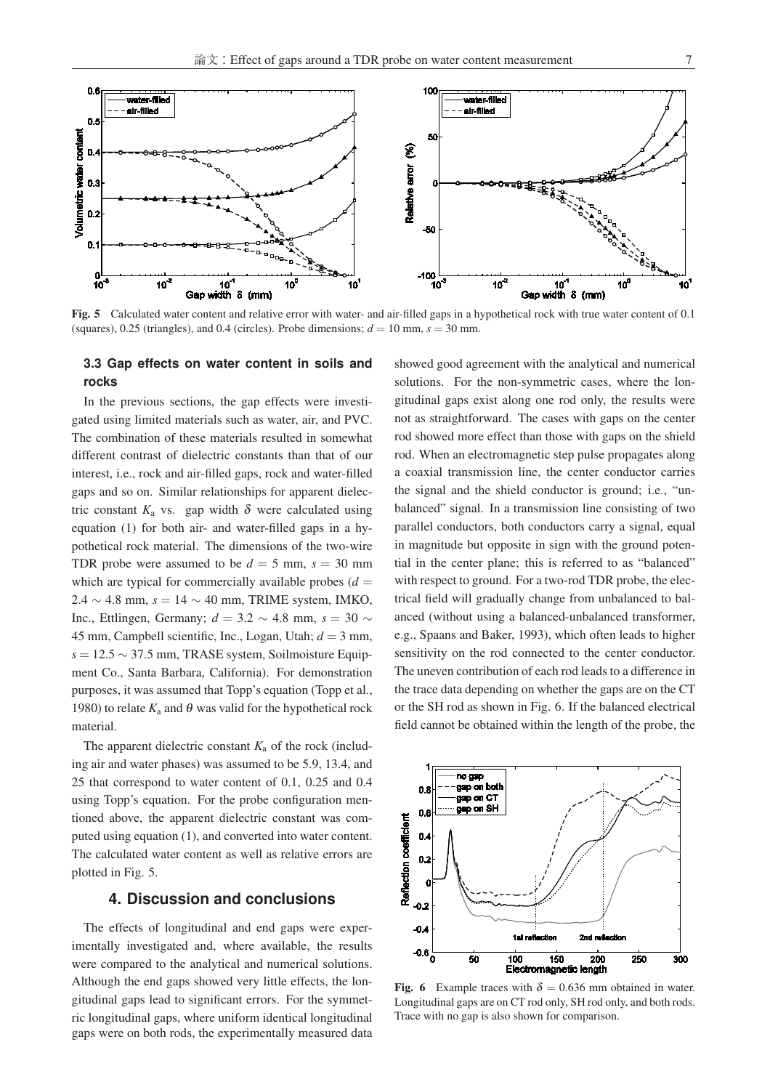

Fig. 5 Calculated water content and relative error with water- and air-filled gaps in a hypothetical rock with true water content of 0.1 (squares), 0.25 (triangles), and 0.4 (circles). Probe dimensions;  $d = 10$  mm,  $s = 30$  mm.

## **3.3 Gap effects on water content in soils and rocks**

In the previous sections, the gap effects were investigated using limited materials such as water, air, and PVC. The combination of these materials resulted in somewhat different contrast of dielectric constants than that of our interest, i.e., rock and air-filled gaps, rock and water-filled gaps and so on. Similar relationships for apparent dielectric constant  $K_a$  vs. gap width  $\delta$  were calculated using equation (1) for both air- and water-filled gaps in a hypothetical rock material. The dimensions of the two-wire TDR probe were assumed to be  $d = 5$  mm,  $s = 30$  mm which are typical for commercially available probes  $(d =$ 2.4 <sup>∼</sup> 4.8 mm, *<sup>s</sup>* <sup>=</sup> <sup>14</sup> <sup>∼</sup> 40 mm, TRIME system, IMKO, Inc., Ettlingen, Germany; *<sup>d</sup>* <sup>=</sup> 3.2 <sup>∼</sup> 4.8 mm, *<sup>s</sup>* <sup>=</sup> <sup>30</sup> <sup>∼</sup> 45 mm, Campbell scientific, Inc., Logan, Utah; *d* = 3 mm, *<sup>s</sup>* <sup>=</sup> 12.5 <sup>∼</sup> 37.5 mm, TRASE system, Soilmoisture Equipment Co., Santa Barbara, California). For demonstration purposes, it was assumed that Topp's equation (Topp et al., 1980) to relate  $K_a$  and  $\theta$  was valid for the hypothetical rock material.

The apparent dielectric constant  $K_a$  of the rock (including air and water phases) was assumed to be 5.9, 13.4, and 25 that correspond to water content of 0.1, 0.25 and 0.4 using Topp's equation. For the probe configuration mentioned above, the apparent dielectric constant was computed using equation (1), and converted into water content. The calculated water content as well as relative errors are plotted in Fig. 5.

## **4. Discussion and conclusions**

The effects of longitudinal and end gaps were experimentally investigated and, where available, the results were compared to the analytical and numerical solutions. Although the end gaps showed very little effects, the longitudinal gaps lead to significant errors. For the symmetric longitudinal gaps, where uniform identical longitudinal gaps were on both rods, the experimentally measured data

showed good agreement with the analytical and numerical solutions. For the non-symmetric cases, where the longitudinal gaps exist along one rod only, the results were not as straightforward. The cases with gaps on the center rod showed more effect than those with gaps on the shield rod. When an electromagnetic step pulse propagates along a coaxial transmission line, the center conductor carries the signal and the shield conductor is ground; i.e., "unbalanced" signal. In a transmission line consisting of two parallel conductors, both conductors carry a signal, equal in magnitude but opposite in sign with the ground potential in the center plane; this is referred to as "balanced" with respect to ground. For a two-rod TDR probe, the electrical field will gradually change from unbalanced to balanced (without using a balanced-unbalanced transformer, e.g., Spaans and Baker, 1993), which often leads to higher sensitivity on the rod connected to the center conductor. The uneven contribution of each rod leads to a difference in the trace data depending on whether the gaps are on the CT or the SH rod as shown in Fig. 6. If the balanced electrical field cannot be obtained within the length of the probe, the



Fig. 6 Example traces with  $\delta = 0.636$  mm obtained in water. Longitudinal gaps are on CT rod only, SH rod only, and both rods. Trace with no gap is also shown for comparison.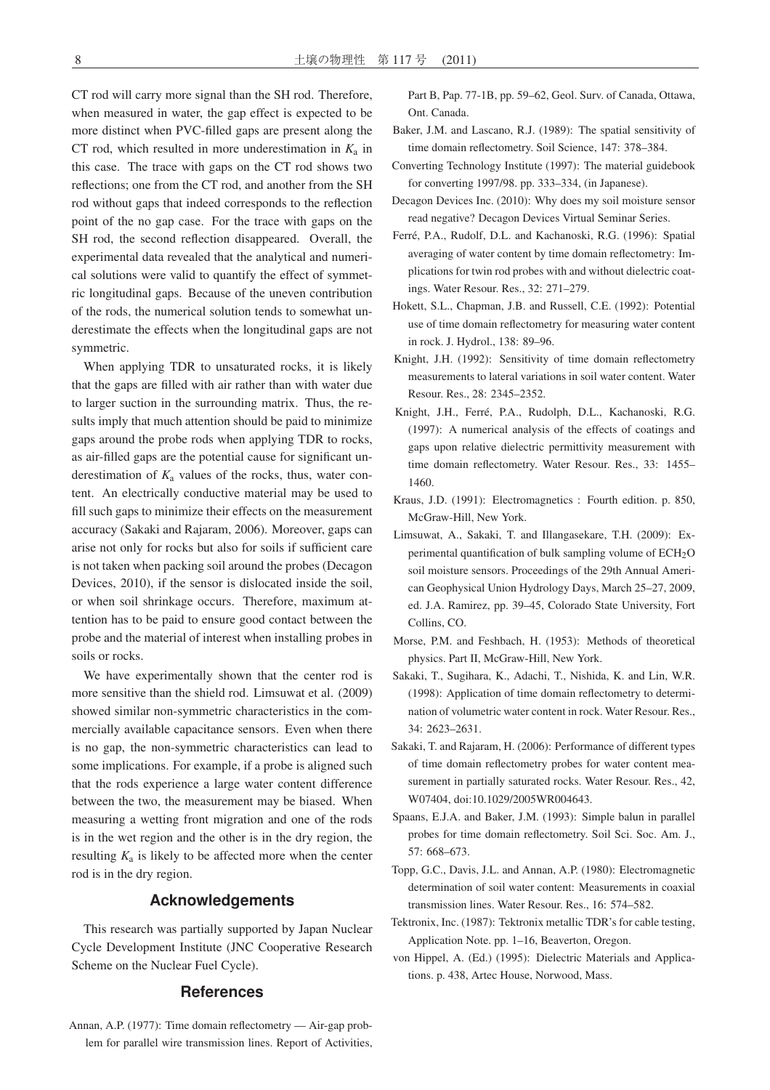CT rod will carry more signal than the SH rod. Therefore, when measured in water, the gap effect is expected to be more distinct when PVC-filled gaps are present along the CT rod, which resulted in more underestimation in  $K_a$  in this case. The trace with gaps on the CT rod shows two reflections; one from the CT rod, and another from the SH rod without gaps that indeed corresponds to the reflection point of the no gap case. For the trace with gaps on the SH rod, the second reflection disappeared. Overall, the experimental data revealed that the analytical and numerical solutions were valid to quantify the effect of symmetric longitudinal gaps. Because of the uneven contribution of the rods, the numerical solution tends to somewhat underestimate the effects when the longitudinal gaps are not symmetric.

When applying TDR to unsaturated rocks, it is likely that the gaps are filled with air rather than with water due to larger suction in the surrounding matrix. Thus, the results imply that much attention should be paid to minimize gaps around the probe rods when applying TDR to rocks, as air-filled gaps are the potential cause for significant underestimation of  $K_a$  values of the rocks, thus, water content. An electrically conductive material may be used to fill such gaps to minimize their effects on the measurement accuracy (Sakaki and Rajaram, 2006). Moreover, gaps can arise not only for rocks but also for soils if sufficient care is not taken when packing soil around the probes (Decagon Devices, 2010), if the sensor is dislocated inside the soil, or when soil shrinkage occurs. Therefore, maximum attention has to be paid to ensure good contact between the probe and the material of interest when installing probes in soils or rocks.

We have experimentally shown that the center rod is more sensitive than the shield rod. Limsuwat et al. (2009) showed similar non-symmetric characteristics in the commercially available capacitance sensors. Even when there is no gap, the non-symmetric characteristics can lead to some implications. For example, if a probe is aligned such that the rods experience a large water content difference between the two, the measurement may be biased. When measuring a wetting front migration and one of the rods is in the wet region and the other is in the dry region, the resulting  $K_a$  is likely to be affected more when the center rod is in the dry region.

## **Acknowledgements**

This research was partially supported by Japan Nuclear Cycle Development Institute (JNC Cooperative Research Scheme on the Nuclear Fuel Cycle).

#### **References**

Annan, A.P. (1977): Time domain reflectometry — Air-gap problem for parallel wire transmission lines. Report of Activities, Part B, Pap. 77-1B, pp. 59–62, Geol. Surv. of Canada, Ottawa, Ont. Canada.

- Baker, J.M. and Lascano, R.J. (1989): The spatial sensitivity of time domain reflectometry. Soil Science, 147: 378–384.
- Converting Technology Institute (1997): The material guidebook for converting 1997/98. pp. 333–334, (in Japanese).
- Decagon Devices Inc. (2010): Why does my soil moisture sensor read negative? Decagon Devices Virtual Seminar Series.
- Ferré, P.A., Rudolf, D.L. and Kachanoski, R.G. (1996): Spatial averaging of water content by time domain reflectometry: Implications for twin rod probes with and without dielectric coatings. Water Resour. Res., 32: 271–279.
- Hokett, S.L., Chapman, J.B. and Russell, C.E. (1992): Potential use of time domain reflectometry for measuring water content in rock. J. Hydrol., 138: 89–96.
- Knight, J.H. (1992): Sensitivity of time domain reflectometry measurements to lateral variations in soil water content. Water Resour. Res., 28: 2345–2352.
- Knight, J.H., Ferré, P.A., Rudolph, D.L., Kachanoski, R.G. (1997): A numerical analysis of the effects of coatings and gaps upon relative dielectric permittivity measurement with time domain reflectometry. Water Resour. Res., 33: 1455– 1460.
- Kraus, J.D. (1991): Electromagnetics : Fourth edition. p. 850, McGraw-Hill, New York.
- Limsuwat, A., Sakaki, T. and Illangasekare, T.H. (2009): Experimental quantification of bulk sampling volume of  $ECH<sub>2</sub>O$ soil moisture sensors. Proceedings of the 29th Annual American Geophysical Union Hydrology Days, March 25–27, 2009, ed. J.A. Ramirez, pp. 39–45, Colorado State University, Fort Collins, CO.
- Morse, P.M. and Feshbach, H. (1953): Methods of theoretical physics. Part II, McGraw-Hill, New York.
- Sakaki, T., Sugihara, K., Adachi, T., Nishida, K. and Lin, W.R. (1998): Application of time domain reflectometry to determination of volumetric water content in rock. Water Resour. Res., 34: 2623–2631.
- Sakaki, T. and Rajaram, H. (2006): Performance of different types of time domain reflectometry probes for water content measurement in partially saturated rocks. Water Resour. Res., 42, W07404, doi:10.1029/2005WR004643.
- Spaans, E.J.A. and Baker, J.M. (1993): Simple balun in parallel probes for time domain reflectometry. Soil Sci. Soc. Am. J., 57: 668–673.
- Topp, G.C., Davis, J.L. and Annan, A.P. (1980): Electromagnetic determination of soil water content: Measurements in coaxial transmission lines. Water Resour. Res., 16: 574–582.
- Tektronix, Inc. (1987): Tektronix metallic TDR's for cable testing, Application Note. pp. 1–16, Beaverton, Oregon.
- von Hippel, A. (Ed.) (1995): Dielectric Materials and Applications. p. 438, Artec House, Norwood, Mass.